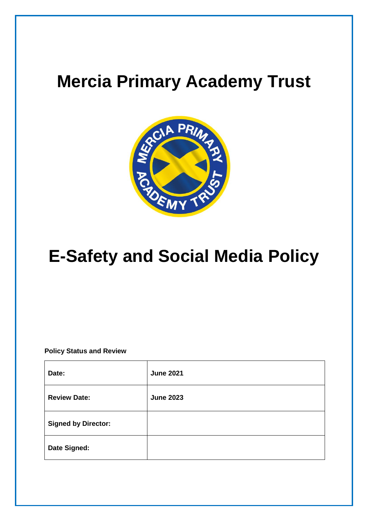## **Mercia Primary Academy Trust**



# **E-Safety and Social Media Policy**

**Policy Status and Review**

| Date:                      | <b>June 2021</b> |
|----------------------------|------------------|
| <b>Review Date:</b>        | <b>June 2023</b> |
| <b>Signed by Director:</b> |                  |
| Date Signed:               |                  |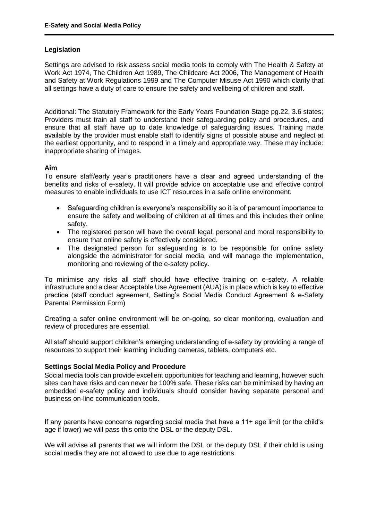#### **Legislation**

Settings are advised to risk assess social media tools to comply with The Health & Safety at Work Act 1974, The Children Act 1989, The Childcare Act 2006, The Management of Health and Safety at Work Regulations 1999 and The Computer Misuse Act 1990 which clarify that all settings have a duty of care to ensure the safety and wellbeing of children and staff.

Additional: The Statutory Framework for the Early Years Foundation Stage pg.22, 3.6 states; Providers must train all staff to understand their safeguarding policy and procedures, and ensure that all staff have up to date knowledge of safeguarding issues. Training made available by the provider must enable staff to identify signs of possible abuse and neglect at the earliest opportunity, and to respond in a timely and appropriate way. These may include: inappropriate sharing of images.

#### **Aim**

To ensure staff/early year's practitioners have a clear and agreed understanding of the benefits and risks of e-safety. It will provide advice on acceptable use and effective control measures to enable individuals to use ICT resources in a safe online environment.

- Safeguarding children is everyone's responsibility so it is of paramount importance to ensure the safety and wellbeing of children at all times and this includes their online safety.
- The registered person will have the overall legal, personal and moral responsibility to ensure that online safety is effectively considered.
- The designated person for safeguarding is to be responsible for online safety alongside the administrator for social media, and will manage the implementation, monitoring and reviewing of the e-safety policy.

To minimise any risks all staff should have effective training on e-safety. A reliable infrastructure and a clear Acceptable Use Agreement (AUA) is in place which is key to effective practice (staff conduct agreement, Setting's Social Media Conduct Agreement & e-Safety Parental Permission Form)

Creating a safer online environment will be on-going, so clear monitoring, evaluation and review of procedures are essential.

All staff should support children's emerging understanding of e-safety by providing a range of resources to support their learning including cameras, tablets, computers etc.

#### **Settings Social Media Policy and Procedure**

Social media tools can provide excellent opportunities for teaching and learning, however such sites can have risks and can never be 100% safe. These risks can be minimised by having an embedded e-safety policy and individuals should consider having separate personal and business on-line communication tools.

If any parents have concerns regarding social media that have a 11+ age limit (or the child's age if lower) we will pass this onto the DSL or the deputy DSL.

We will advise all parents that we will inform the DSL or the deputy DSL if their child is using social media they are not allowed to use due to age restrictions.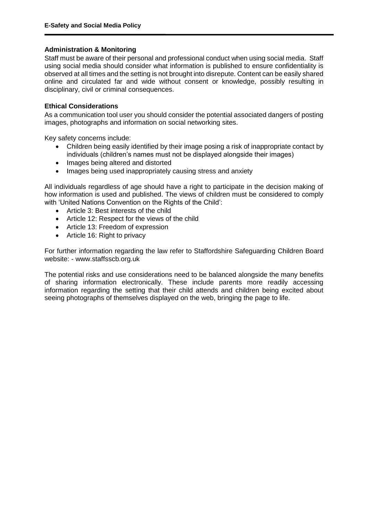## **Administration & Monitoring**

Staff must be aware of their personal and professional conduct when using social media. Staff using social media should consider what information is published to ensure confidentiality is observed at all times and the setting is not brought into disrepute. Content can be easily shared online and circulated far and wide without consent or knowledge, possibly resulting in disciplinary, civil or criminal consequences.

## **Ethical Considerations**

As a communication tool user you should consider the potential associated dangers of posting images, photographs and information on social networking sites.

Key safety concerns include:

- Children being easily identified by their image posing a risk of inappropriate contact by individuals (children's names must not be displayed alongside their images)
- Images being altered and distorted
- Images being used inappropriately causing stress and anxiety

All individuals regardless of age should have a right to participate in the decision making of how information is used and published. The views of children must be considered to comply with 'United Nations Convention on the Rights of the Child':

- Article 3: Best interests of the child
- Article 12: Respect for the views of the child
- Article 13: Freedom of expression
- Article 16: Right to privacy

For further information regarding the law refer to Staffordshire Safeguarding Children Board website: - www.staffsscb.org.uk

The potential risks and use considerations need to be balanced alongside the many benefits of sharing information electronically. These include parents more readily accessing information regarding the setting that their child attends and children being excited about seeing photographs of themselves displayed on the web, bringing the page to life.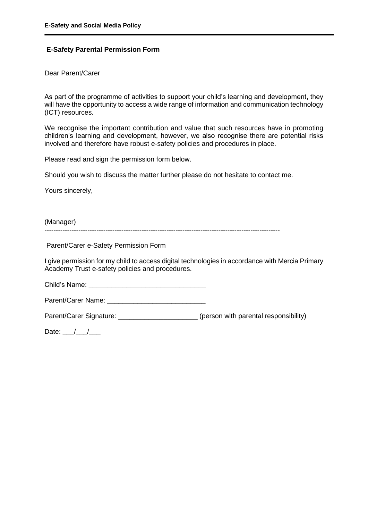## **E-Safety Parental Permission Form**

Dear Parent/Carer

As part of the programme of activities to support your child's learning and development, they will have the opportunity to access a wide range of information and communication technology (ICT) resources.

We recognise the important contribution and value that such resources have in promoting children's learning and development, however, we also recognise there are potential risks involved and therefore have robust e-safety policies and procedures in place.

Please read and sign the permission form below.

Should you wish to discuss the matter further please do not hesitate to contact me.

Yours sincerely,

(Manager) --------------------------------------------------------------------------------------------------------

Parent/Carer e-Safety Permission Form

I give permission for my child to access digital technologies in accordance with Mercia Primary Academy Trust e-safety policies and procedures.

Child's Name: \_\_\_\_\_\_\_\_\_\_\_\_\_\_\_\_\_\_\_\_\_\_\_\_\_\_\_\_\_\_\_

Parent/Carer Name: **Example 2018** 

Parent/Carer Signature: <br>  $(person with parental responsibility)$ 

Date:  $\frac{1}{2}$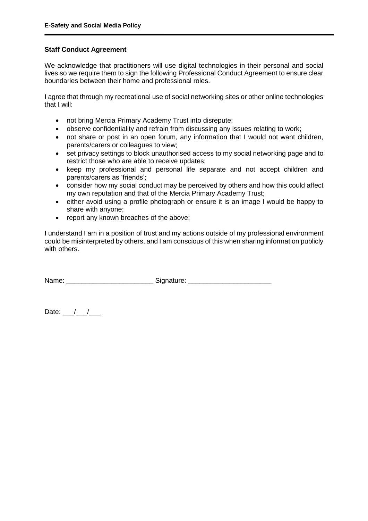#### **Staff Conduct Agreement**

We acknowledge that practitioners will use digital technologies in their personal and social lives so we require them to sign the following Professional Conduct Agreement to ensure clear boundaries between their home and professional roles.

I agree that through my recreational use of social networking sites or other online technologies that I will:

- not bring Mercia Primary Academy Trust into disrepute;
- observe confidentiality and refrain from discussing any issues relating to work;
- not share or post in an open forum, any information that I would not want children, parents/carers or colleagues to view;
- set privacy settings to block unauthorised access to my social networking page and to restrict those who are able to receive updates;
- keep my professional and personal life separate and not accept children and parents/carers as 'friends';
- consider how my social conduct may be perceived by others and how this could affect my own reputation and that of the Mercia Primary Academy Trust;
- either avoid using a profile photograph or ensure it is an image I would be happy to share with anyone;
- report any known breaches of the above;

I understand I am in a position of trust and my actions outside of my professional environment could be misinterpreted by others, and I am conscious of this when sharing information publicly with others.

Name: \_\_\_\_\_\_\_\_\_\_\_\_\_\_\_\_\_\_\_\_\_\_\_\_\_\_\_\_\_\_\_\_\_Signature: \_\_\_\_\_\_\_\_\_\_\_\_\_\_\_\_\_\_\_\_\_\_\_\_\_\_\_\_\_\_

Date:  $\frac{1}{\sqrt{1-\frac{1}{2}}}$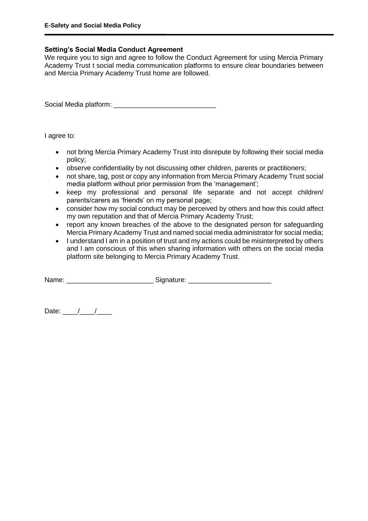#### **Setting's Social Media Conduct Agreement**

We require you to sign and agree to follow the Conduct Agreement for using Mercia Primary Academy Trust t social media communication platforms to ensure clear boundaries between and Mercia Primary Academy Trust home are followed.

Social Media platform:

I agree to:

- not bring Mercia Primary Academy Trust into disrepute by following their social media policy;
- observe confidentiality by not discussing other children, parents or practitioners;
- not share, tag, post or copy any information from Mercia Primary Academy Trust social media platform without prior permission from the 'management';
- keep my professional and personal life separate and not accept children/ parents/carers as 'friends' on my personal page;
- consider how my social conduct may be perceived by others and how this could affect my own reputation and that of Mercia Primary Academy Trust;
- report any known breaches of the above to the designated person for safeguarding Mercia Primary Academy Trust and named social media administrator for social media;
- I understand I am in a position of trust and my actions could be misinterpreted by others and I am conscious of this when sharing information with others on the social media platform site belonging to Mercia Primary Academy Trust.

Name: \_\_\_\_\_\_\_\_\_\_\_\_\_\_\_\_\_\_\_\_\_\_\_\_\_\_\_\_\_\_\_\_\_Signature: \_\_\_\_\_\_\_\_\_\_\_\_\_\_\_\_\_\_\_\_\_\_\_\_\_\_\_\_\_\_

Date:  $\frac{1}{\sqrt{1-\frac{1}{2}}}$